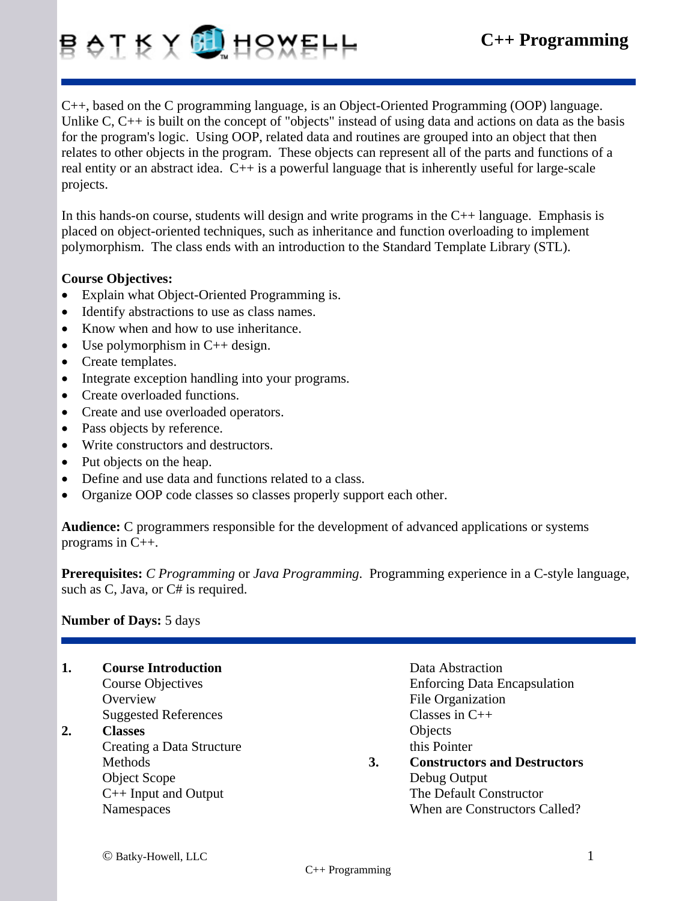## B OI K X 0 H8XEHH

C++, based on the C programming language, is an Object-Oriented Programming (OOP) language. Unlike C, C<sub>++</sub> is built on the concept of "objects" instead of using data and actions on data as the basis for the program's logic. Using OOP, related data and routines are grouped into an object that then relates to other objects in the program. These objects can represent all of the parts and functions of a real entity or an abstract idea. C++ is a powerful language that is inherently useful for large-scale projects.

In this hands-on course, students will design and write programs in the  $C_{++}$  language. Emphasis is placed on object-oriented techniques, such as inheritance and function overloading to implement polymorphism. The class ends with an introduction to the Standard Template Library (STL).

## **Course Objectives:**

- Explain what Object-Oriented Programming is.
- Identify abstractions to use as class names.
- Know when and how to use inheritance.
- Use polymorphism in  $C++$  design.
- Create templates.
- Integrate exception handling into your programs.
- Create overloaded functions.
- Create and use overloaded operators.
- Pass objects by reference.
- Write constructors and destructors.
- Put objects on the heap.
- Define and use data and functions related to a class.
- Organize OOP code classes so classes properly support each other.

**Audience:** C programmers responsible for the development of advanced applications or systems programs in C++.

**Prerequisites:** *C Programming* or *Java Programming*. Programming experience in a C-style language, such as C, Java, or C# is required.

## **Number of Days:** 5 days

| 1. | <b>Course Introduction</b>  |    | Data Abstraction                    |
|----|-----------------------------|----|-------------------------------------|
|    | Course Objectives           |    | <b>Enforcing Data Encapsulation</b> |
|    | Overview                    |    | File Organization                   |
|    | <b>Suggested References</b> |    | Classes in $C++$                    |
| 2. | <b>Classes</b>              |    | Objects                             |
|    | Creating a Data Structure   |    | this Pointer                        |
|    | Methods                     | 3. | <b>Constructors and Destructors</b> |
|    | Object Scope                |    | Debug Output                        |
|    | $C++$ Input and Output      |    | The Default Constructor             |
|    | Namespaces                  |    | When are Constructors Called?       |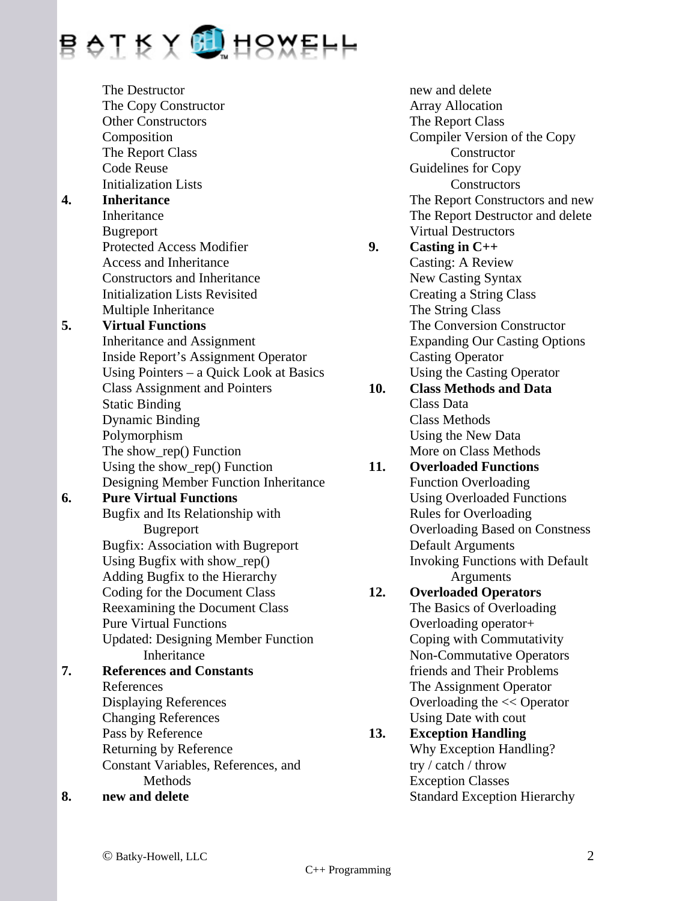

 The Destructor The Copy Constructor Other Constructors Composition The Report Class Code Reuse Initialization Lists **4. Inheritance**  Inheritance Bugreport Protected Access Modifier Access and Inheritance Constructors and Inheritance Initialization Lists Revisited Multiple Inheritance **5. Virtual Functions**  Inheritance and Assignment Inside Report's Assignment Operator Using Pointers – a Quick Look at Basics Class Assignment and Pointers Static Binding Dynamic Binding Polymorphism The show rep() Function Using the show\_rep() Function Designing Member Function Inheritance **6. Pure Virtual Functions**  Bugfix and Its Relationship with Bugreport Bugfix: Association with Bugreport Using Bugfix with show\_rep() Adding Bugfix to the Hierarchy Coding for the Document Class Reexamining the Document Class Pure Virtual Functions Updated: Designing Member Function Inheritance **7. References and Constants**  References Displaying References Changing References Pass by Reference Returning by Reference Constant Variables, References, and Methods **8. new and delete** 

 The Report Class Compiler Version of the Copy **Constructor**  Guidelines for Copy **Constructors**  The Report Constructors and new The Report Destructor and delete Virtual Destructors **9. Casting in C++**  Casting: A Review New Casting Syntax Creating a String Class The String Class The Conversion Constructor Expanding Our Casting Options Casting Operator Using the Casting Operator **10. Class Methods and Data** Class Data Class Methods Using the New Data More on Class Methods **11. Overloaded Functions**  Function Overloading Using Overloaded Functions Rules for Overloading Overloading Based on Constness Default Arguments Invoking Functions with Default Arguments **12. Overloaded Operators**  The Basics of Overloading Overloading operator+ Coping with Commutativity Non-Commutative Operators friends and Their Problems The Assignment Operator Overloading the << Operator Using Date with cout **13. Exception Handling**  Why Exception Handling? try / catch / throw Exception Classes Standard Exception Hierarchy

 new and delete Array Allocation